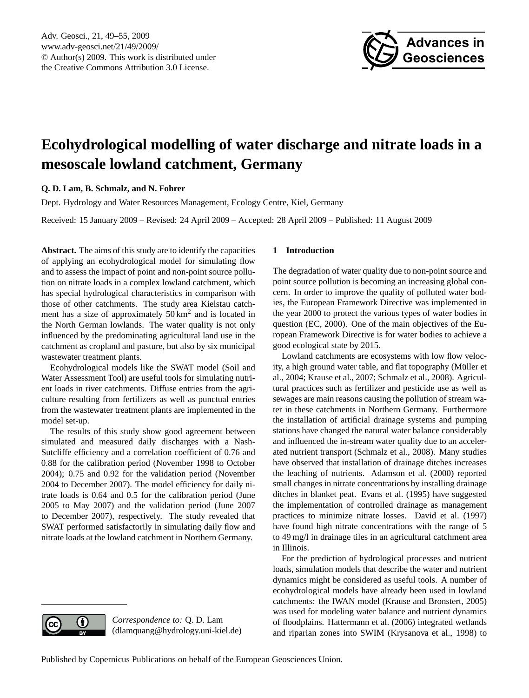

# <span id="page-0-0"></span>**Ecohydrological modelling of water discharge and nitrate loads in a mesoscale lowland catchment, Germany**

## **Q. D. Lam, B. Schmalz, and N. Fohrer**

Dept. Hydrology and Water Resources Management, Ecology Centre, Kiel, Germany

Received: 15 January 2009 – Revised: 24 April 2009 – Accepted: 28 April 2009 – Published: 11 August 2009

**Abstract.** The aims of this study are to identify the capacities of applying an ecohydrological model for simulating flow and to assess the impact of point and non-point source pollution on nitrate loads in a complex lowland catchment, which has special hydrological characteristics in comparison with those of other catchments. The study area Kielstau catchment has a size of approximately  $50 \text{ km}^2$  and is located in the North German lowlands. The water quality is not only influenced by the predominating agricultural land use in the catchment as cropland and pasture, but also by six municipal wastewater treatment plants.

Ecohydrological models like the SWAT model (Soil and Water Assessment Tool) are useful tools for simulating nutrient loads in river catchments. Diffuse entries from the agriculture resulting from fertilizers as well as punctual entries from the wastewater treatment plants are implemented in the model set-up.

The results of this study show good agreement between simulated and measured daily discharges with a Nash-Sutcliffe efficiency and a correlation coefficient of 0.76 and 0.88 for the calibration period (November 1998 to October 2004); 0.75 and 0.92 for the validation period (November 2004 to December 2007). The model efficiency for daily nitrate loads is 0.64 and 0.5 for the calibration period (June 2005 to May 2007) and the validation period (June 2007 to December 2007), respectively. The study revealed that SWAT performed satisfactorily in simulating daily flow and nitrate loads at the lowland catchment in Northern Germany.

## **1 Introduction**

The degradation of water quality due to non-point source and point source pollution is becoming an increasing global concern. In order to improve the quality of polluted water bodies, the European Framework Directive was implemented in the year 2000 to protect the various types of water bodies in question (EC, 2000). One of the main objectives of the European Framework Directive is for water bodies to achieve a good ecological state by 2015.

Lowland catchments are ecosystems with low flow velocity, a high ground water table, and flat topography (Müller et al., 2004; Krause et al., 2007; Schmalz et al., 2008). Agricultural practices such as fertilizer and pesticide use as well as sewages are main reasons causing the pollution of stream water in these catchments in Northern Germany. Furthermore the installation of artificial drainage systems and pumping stations have changed the natural water balance considerably and influenced the in-stream water quality due to an accelerated nutrient transport (Schmalz et al., 2008). Many studies have observed that installation of drainage ditches increases the leaching of nutrients. Adamson et al. (2000) reported small changes in nitrate concentrations by installing drainage ditches in blanket peat. Evans et al. (1995) have suggested the implementation of controlled drainage as management practices to minimize nitrate losses. David et al. (1997) have found high nitrate concentrations with the range of 5 to 49 mg/l in drainage tiles in an agricultural catchment area in Illinois.

For the prediction of hydrological processes and nutrient loads, simulation models that describe the water and nutrient dynamics might be considered as useful tools. A number of ecohydrological models have already been used in lowland catchments: the IWAN model (Krause and Bronstert, 2005) was used for modeling water balance and nutrient dynamics of floodplains. Hattermann et al. (2006) integrated wetlands and riparian zones into SWIM (Krysanova et al., 1998) to



*Correspondence to:* Q. D. Lam (dlamquang@hydrology.uni-kiel.de)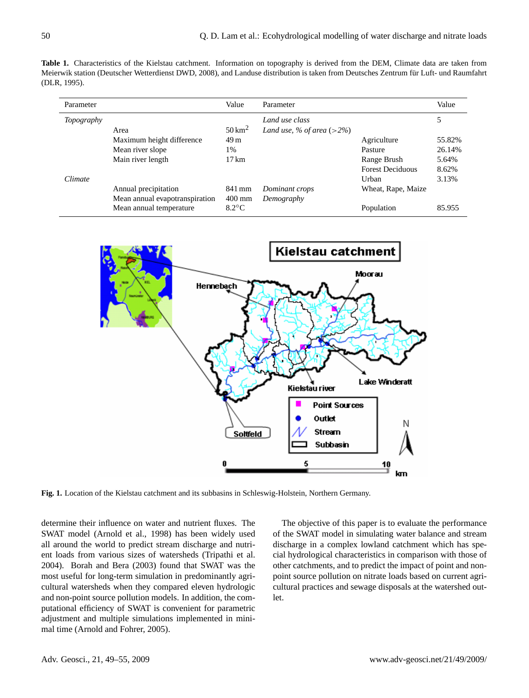**Table 1.** Characteristics of the Kielstau catchment. Information on topography is derived from the DEM, Climate data are taken from Meierwik station (Deutscher Wetterdienst DWD, 2008), and Landuse distribution is taken from Deutsches Zentrum fur Luft- und Raumfahrt ¨ (DLR, 1995).

| Parameter         |                                | Value                | Parameter                    |                         | Value  |
|-------------------|--------------------------------|----------------------|------------------------------|-------------------------|--------|
| <i>Topography</i> |                                |                      | Land use class               |                         | 5      |
|                   | Area                           | $50 \,\mathrm{km}^2$ | Land use, % of area $(>2\%)$ |                         |        |
|                   | Maximum height difference      | 49 <sub>m</sub>      |                              | Agriculture             | 55.82% |
|                   | Mean river slope               | 1%                   |                              | Pasture                 | 26.14% |
|                   | Main river length              | $17 \text{ km}$      |                              | Range Brush             | 5.64%  |
|                   |                                |                      |                              | <b>Forest Deciduous</b> | 8.62%  |
| <b>Climate</b>    |                                |                      |                              | Urban                   | 3.13%  |
|                   | Annual precipitation           | 841 mm               | Dominant crops               | Wheat, Rape, Maize      |        |
|                   | Mean annual evapotranspiration | $400$ mm             | Demography                   |                         |        |
|                   | Mean annual temperature        | $8.2^{\circ}$ C      |                              | Population              | 85.955 |



**Fig. 1.** Location of the Kielstau catchment and its subbasins in Schleswig-Holstein, Northern Germany.

determine their influence on water and nutrient fluxes. The SWAT model (Arnold et al., 1998) has been widely used all around the world to predict stream discharge and nutrient loads from various sizes of watersheds (Tripathi et al. 2004). Borah and Bera (2003) found that SWAT was the most useful for long-term simulation in predominantly agricultural watersheds when they compared eleven hydrologic and non-point source pollution models. In addition, the computational efficiency of SWAT is convenient for parametric adjustment and multiple simulations implemented in minimal time (Arnold and Fohrer, 2005).

The objective of this paper is to evaluate the performance of the SWAT model in simulating water balance and stream discharge in a complex lowland catchment which has special hydrological characteristics in comparison with those of other catchments, and to predict the impact of point and nonpoint source pollution on nitrate loads based on current agricultural practices and sewage disposals at the watershed outlet.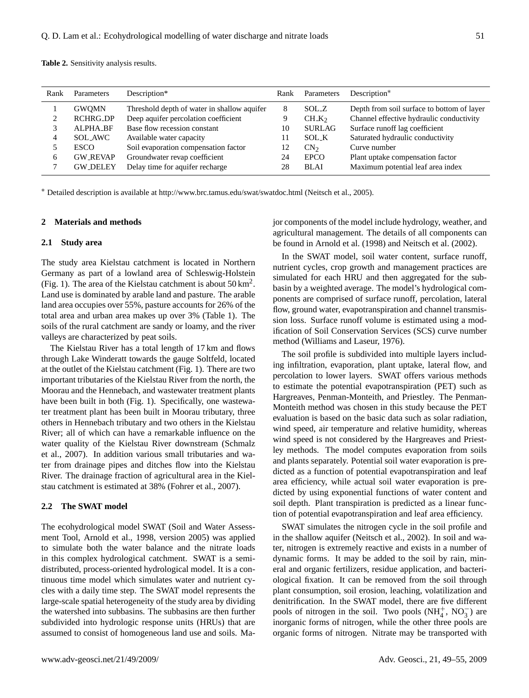**Table 2.** Sensitivity analysis results.

| Rank | Parameters      | Description*                                | Rank | Parameters      | Description*                               |
|------|-----------------|---------------------------------------------|------|-----------------|--------------------------------------------|
|      | <b>GWOMN</b>    | Threshold depth of water in shallow aquifer | 8    | SOL Z           | Depth from soil surface to bottom of layer |
|      | RCHRG_DP        | Deep aquifer percolation coefficient        | 9    | $CH_K$          | Channel effective hydraulic conductivity   |
| 2    | ALPHA BF        | Base flow recession constant                | 10   | <b>SURLAG</b>   | Surface runoff lag coefficient             |
| 4    | SOL_AWC         | Available water capacity                    | 11   | SOL_K           | Saturated hydraulic conductivity           |
|      | <b>ESCO</b>     | Soil evaporation compensation factor        | 12   | CN <sub>2</sub> | Curve number                               |
| 6    | <b>GW_REVAP</b> | Groundwater revap coefficient               | 24   | <b>EPCO</b>     | Plant uptake compensation factor           |
|      | <b>GW_DELEY</b> | Delay time for aquifer recharge             | 28   | <b>BLAI</b>     | Maximum potential leaf area index          |

<sup>∗</sup> Detailed description is available at <http://www.brc.tamus.edu/swat/swatdoc.html> (Neitsch et al., 2005).

#### **2 Materials and methods**

#### **2.1 Study area**

The study area Kielstau catchment is located in Northern Germany as part of a lowland area of Schleswig-Holstein (Fig. 1). The area of the Kielstau catchment is about  $50 \text{ km}^2$ . Land use is dominated by arable land and pasture. The arable land area occupies over 55%, pasture accounts for 26% of the total area and urban area makes up over 3% (Table 1). The soils of the rural catchment are sandy or loamy, and the river valleys are characterized by peat soils.

The Kielstau River has a total length of 17 km and flows through Lake Winderatt towards the gauge Soltfeld, located at the outlet of the Kielstau catchment (Fig. 1). There are two important tributaries of the Kielstau River from the north, the Moorau and the Hennebach, and wastewater treatment plants have been built in both (Fig. 1). Specifically, one wastewater treatment plant has been built in Moorau tributary, three others in Hennebach tributary and two others in the Kielstau River; all of which can have a remarkable influence on the water quality of the Kielstau River downstream (Schmalz et al., 2007). In addition various small tributaries and water from drainage pipes and ditches flow into the Kielstau River. The drainage fraction of agricultural area in the Kielstau catchment is estimated at 38% (Fohrer et al., 2007).

#### **2.2 The SWAT model**

The ecohydrological model SWAT (Soil and Water Assessment Tool, Arnold et al., 1998, version 2005) was applied to simulate both the water balance and the nitrate loads in this complex hydrological catchment. SWAT is a semidistributed, process-oriented hydrological model. It is a continuous time model which simulates water and nutrient cycles with a daily time step. The SWAT model represents the large-scale spatial heterogeneity of the study area by dividing the watershed into subbasins. The subbasins are then further subdivided into hydrologic response units (HRUs) that are assumed to consist of homogeneous land use and soils. Major components of the model include hydrology, weather, and agricultural management. The details of all components can be found in Arnold et al. (1998) and Neitsch et al. (2002).

In the SWAT model, soil water content, surface runoff, nutrient cycles, crop growth and management practices are simulated for each HRU and then aggregated for the subbasin by a weighted average. The model's hydrological components are comprised of surface runoff, percolation, lateral flow, ground water, evapotranspiration and channel transmission loss. Surface runoff volume is estimated using a modification of Soil Conservation Services (SCS) curve number method (Williams and Laseur, 1976).

The soil profile is subdivided into multiple layers including infiltration, evaporation, plant uptake, lateral flow, and percolation to lower layers. SWAT offers various methods to estimate the potential evapotranspiration (PET) such as Hargreaves, Penman-Monteith, and Priestley. The Penman-Monteith method was chosen in this study because the PET evaluation is based on the basic data such as solar radiation, wind speed, air temperature and relative humidity, whereas wind speed is not considered by the Hargreaves and Priestley methods. The model computes evaporation from soils and plants separately. Potential soil water evaporation is predicted as a function of potential evapotranspiration and leaf area efficiency, while actual soil water evaporation is predicted by using exponential functions of water content and soil depth. Plant transpiration is predicted as a linear function of potential evapotranspiration and leaf area efficiency.

SWAT simulates the nitrogen cycle in the soil profile and in the shallow aquifer (Neitsch et al., 2002). In soil and water, nitrogen is extremely reactive and exists in a number of dynamic forms. It may be added to the soil by rain, mineral and organic fertilizers, residue application, and bacteriological fixation. It can be removed from the soil through plant consumption, soil erosion, leaching, volatilization and denitrification. In the SWAT model, there are five different pools of nitrogen in the soil. Two pools  $(NH_4^+, NO_3^-)$  are inorganic forms of nitrogen, while the other three pools are organic forms of nitrogen. Nitrate may be transported with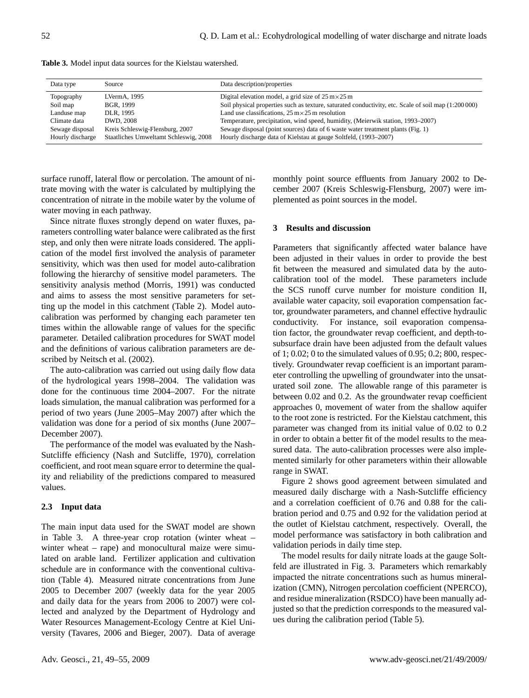|  |  | <b>Table 3.</b> Model input data sources for the Kielstau watershed. |  |  |  |
|--|--|----------------------------------------------------------------------|--|--|--|
|--|--|----------------------------------------------------------------------|--|--|--|

| Data type        | Source                                | Data description/properties                                                                          |
|------------------|---------------------------------------|------------------------------------------------------------------------------------------------------|
| Topography       | LVermA, 1995                          | Digital elevation model, a grid size of $25 \text{ m} \times 25 \text{ m}$                           |
| Soil map         | BGR, 1999                             | Soil physical properties such as texture, saturated conductivity, etc. Scale of soil map (1:200 000) |
| Landuse map      | DLR, 1995                             | Land use classifications, $25 \text{ m} \times 25 \text{ m}$ resolution                              |
| Climate data     | DWD, 2008                             | Temperature, precipitation, wind speed, humidity, (Meierwik station, 1993–2007)                      |
| Sewage disposal  | Kreis Schleswig-Flensburg, 2007       | Sewage disposal (point sources) data of 6 waste water treatment plants (Fig. 1)                      |
| Hourly discharge | Staatliches Umweltamt Schleswig, 2008 | Hourly discharge data of Kielstau at gauge Soltfeld, (1993–2007)                                     |

surface runoff, lateral flow or percolation. The amount of nitrate moving with the water is calculated by multiplying the concentration of nitrate in the mobile water by the volume of water moving in each pathway.

Since nitrate fluxes strongly depend on water fluxes, parameters controlling water balance were calibrated as the first step, and only then were nitrate loads considered. The application of the model first involved the analysis of parameter sensitivity, which was then used for model auto-calibration following the hierarchy of sensitive model parameters. The sensitivity analysis method (Morris, 1991) was conducted and aims to assess the most sensitive parameters for setting up the model in this catchment (Table 2). Model autocalibration was performed by changing each parameter ten times within the allowable range of values for the specific parameter. Detailed calibration procedures for SWAT model and the definitions of various calibration parameters are described by Neitsch et al. (2002).

The auto-calibration was carried out using daily flow data of the hydrological years 1998–2004. The validation was done for the continuous time 2004–2007. For the nitrate loads simulation, the manual calibration was performed for a period of two years (June 2005–May 2007) after which the validation was done for a period of six months (June 2007– December 2007).

The performance of the model was evaluated by the Nash-Sutcliffe efficiency (Nash and Sutcliffe, 1970), correlation coefficient, and root mean square error to determine the quality and reliability of the predictions compared to measured values.

#### **2.3 Input data**

The main input data used for the SWAT model are shown in Table 3. A three-year crop rotation (winter wheat – winter wheat – rape) and monocultural maize were simulated on arable land. Fertilizer application and cultivation schedule are in conformance with the conventional cultivation (Table 4). Measured nitrate concentrations from June 2005 to December 2007 (weekly data for the year 2005 and daily data for the years from 2006 to 2007) were collected and analyzed by the Department of Hydrology and Water Resources Management-Ecology Centre at Kiel University (Tavares, 2006 and Bieger, 2007). Data of average monthly point source effluents from January 2002 to December 2007 (Kreis Schleswig-Flensburg, 2007) were implemented as point sources in the model.

### **3 Results and discussion**

Parameters that significantly affected water balance have been adjusted in their values in order to provide the best fit between the measured and simulated data by the autocalibration tool of the model. These parameters include the SCS runoff curve number for moisture condition II, available water capacity, soil evaporation compensation factor, groundwater parameters, and channel effective hydraulic conductivity. For instance, soil evaporation compensation factor, the groundwater revap coefficient, and depth-tosubsurface drain have been adjusted from the default values of 1; 0.02; 0 to the simulated values of 0.95; 0.2; 800, respectively. Groundwater revap coefficient is an important parameter controlling the upwelling of groundwater into the unsaturated soil zone. The allowable range of this parameter is between 0.02 and 0.2. As the groundwater revap coefficient approaches 0, movement of water from the shallow aquifer to the root zone is restricted. For the Kielstau catchment, this parameter was changed from its initial value of 0.02 to 0.2 in order to obtain a better fit of the model results to the measured data. The auto-calibration processes were also implemented similarly for other parameters within their allowable range in SWAT.

Figure 2 shows good agreement between simulated and measured daily discharge with a Nash-Sutcliffe efficiency and a correlation coefficient of 0.76 and 0.88 for the calibration period and 0.75 and 0.92 for the validation period at the outlet of Kielstau catchment, respectively. Overall, the model performance was satisfactory in both calibration and validation periods in daily time step.

The model results for daily nitrate loads at the gauge Soltfeld are illustrated in Fig. 3. Parameters which remarkably impacted the nitrate concentrations such as humus mineralization (CMN), Nitrogen percolation coefficient (NPERCO), and residue mineralization (RSDCO) have been manually adjusted so that the prediction corresponds to the measured values during the calibration period (Table 5).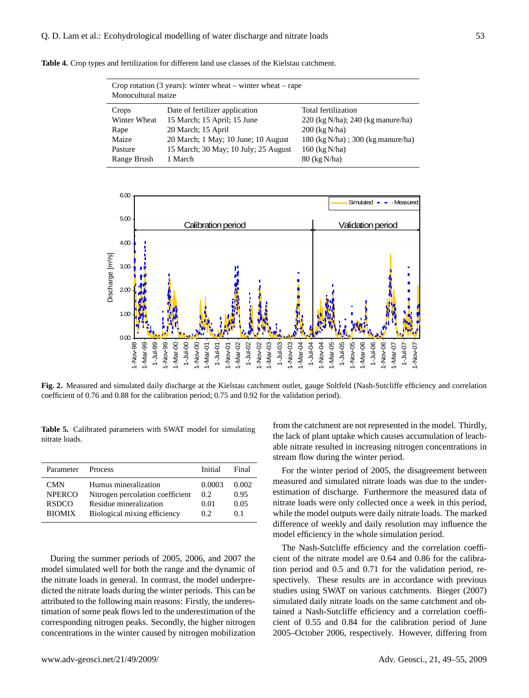|  |  |  |  |  |  |  |  |  |  |  |  |  |  |  | <b>Table 4.</b> Crop types and fertilization for different land use classes of the Kielstau catchment. |  |  |
|--|--|--|--|--|--|--|--|--|--|--|--|--|--|--|--------------------------------------------------------------------------------------------------------|--|--|
|--|--|--|--|--|--|--|--|--|--|--|--|--|--|--|--------------------------------------------------------------------------------------------------------|--|--|

| Crop rotation $(3 \text{ years})$ : winter wheat – winter wheat – rape<br>Monocultural maize |                                      |                                       |  |  |  |  |  |
|----------------------------------------------------------------------------------------------|--------------------------------------|---------------------------------------|--|--|--|--|--|
| Crops                                                                                        | Date of fertilizer application       | Total fertilization                   |  |  |  |  |  |
| Winter Wheat                                                                                 | 15 March; 15 April; 15 June          | $220$ (kg N/ha); $240$ (kg manure/ha) |  |  |  |  |  |
| Rape                                                                                         | 20 March; 15 April                   | $200$ (kg N/ha)                       |  |  |  |  |  |
| Maize                                                                                        | 20 March; 1 May; 10 June; 10 August  | 180 (kg N/ha); 300 (kg manure/ha)     |  |  |  |  |  |
| Pasture                                                                                      | 15 March; 30 May; 10 July; 25 August | 160 (kg N/ha)                         |  |  |  |  |  |
| Range Brush                                                                                  | 1 March                              | 80 (kg N/ha)                          |  |  |  |  |  |



**Fig. 2.** Measured and simulated daily discharge at the Kielstau catchment outlet, gauge Soltfeld (Nash-Sutcliffe efficiency and correlation coefficient of 0.76 and 0.88 for the calibration period; 0.75 and 0.92 for the validation period).

**Table 5.** Calibrated parameters with SWAT model for simulating nitrate loads.

| Parameter                                                    | <b>Process</b>                                                                                                     | Initial                      | Final                        |
|--------------------------------------------------------------|--------------------------------------------------------------------------------------------------------------------|------------------------------|------------------------------|
| <b>CMN</b><br><b>NPERCO</b><br><b>RSDCO</b><br><b>BIOMIX</b> | Humus mineralization<br>Nitrogen percolation coefficient<br>Residue mineralization<br>Biological mixing efficiency | 0.0003<br>0.2<br>0.01<br>0.2 | 0.002<br>0.95<br>0.05<br>0.1 |
|                                                              |                                                                                                                    |                              |                              |

During the summer periods of 2005, 2006, and 2007 the model simulated well for both the range and the dynamic of the nitrate loads in general. In contrast, the model underpredicted the nitrate loads during the winter periods. This can be attributed to the following main reasons: Firstly, the underestimation of some peak flows led to the underestimation of the corresponding nitrogen peaks. Secondly, the higher nitrogen concentrations in the winter caused by nitrogen mobilization

from the catchment are not represented in the model. Thirdly, the lack of plant uptake which causes accumulation of leachable nitrate resulted in increasing nitrogen concentrations in stream flow during the winter period.

For the winter period of 2005, the disagreement between measured and simulated nitrate loads was due to the underestimation of discharge. Furthermore the measured data of nitrate loads were only collected once a week in this period, while the model outputs were daily nitrate loads. The marked difference of weekly and daily resolution may influence the model efficiency in the whole simulation period.

The Nash-Sutcliffe efficiency and the correlation coefficient of the nitrate model are 0.64 and 0.86 for the calibration period and 0.5 and 0.71 for the validation period, respectively. These results are in accordance with previous studies using SWAT on various catchments. Bieger (2007) simulated daily nitrate loads on the same catchment and obtained a Nash-Sutcliffe efficiency and a correlation coefficient of 0.55 and 0.84 for the calibration period of June 2005–October 2006, respectively. However, differing from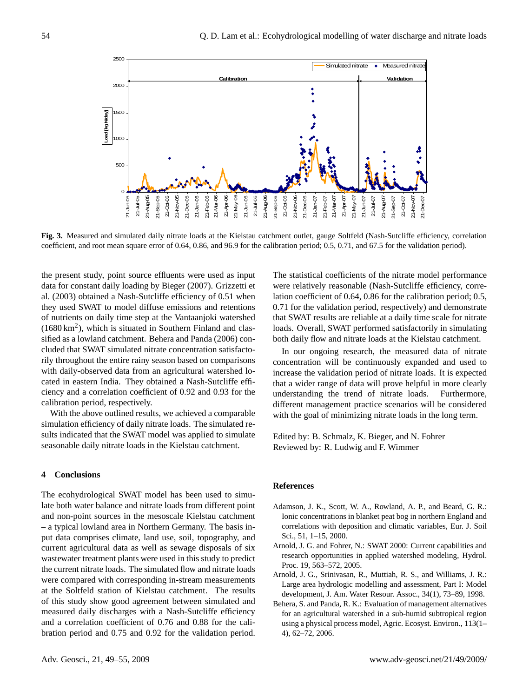

**Fig. 3.** Measured and simulated daily nitrate loads at the Kielstau catchment outlet, gauge Soltfeld (Nash-Sutcliffe efficiency, correlation coefficient, and root mean square error of 0.64, 0.86, and 96.9 for the calibration period; 0.5, 0.71, and 67.5 for the validation period).

the present study, point source effluents were used as input data for constant daily loading by Bieger (2007). Grizzetti et al. (2003) obtained a Nash-Sutcliffe efficiency of 0.51 when they used SWAT to model diffuse emissions and retentions of nutrients on daily time step at the Vantaanjoki watershed  $(1680 \text{ km}^2)$ , which is situated in Southern Finland and classified as a lowland catchment. Behera and Panda (2006) concluded that SWAT simulated nitrate concentration satisfactorily throughout the entire rainy season based on comparisons with daily-observed data from an agricultural watershed located in eastern India. They obtained a Nash-Sutcliffe efficiency and a correlation coefficient of 0.92 and 0.93 for the calibration period, respectively.

With the above outlined results, we achieved a comparable simulation efficiency of daily nitrate loads. The simulated results indicated that the SWAT model was applied to simulate seasonable daily nitrate loads in the Kielstau catchment.

### **4 Conclusions**

The ecohydrological SWAT model has been used to simulate both water balance and nitrate loads from different point and non-point sources in the mesoscale Kielstau catchment – a typical lowland area in Northern Germany. The basis input data comprises climate, land use, soil, topography, and current agricultural data as well as sewage disposals of six wastewater treatment plants were used in this study to predict the current nitrate loads. The simulated flow and nitrate loads were compared with corresponding in-stream measurements at the Soltfeld station of Kielstau catchment. The results of this study show good agreement between simulated and measured daily discharges with a Nash-Sutcliffe efficiency and a correlation coefficient of 0.76 and 0.88 for the calibration period and 0.75 and 0.92 for the validation period. The statistical coefficients of the nitrate model performance were relatively reasonable (Nash-Sutcliffe efficiency, correlation coefficient of 0.64, 0.86 for the calibration period; 0.5, 0.71 for the validation period, respectively) and demonstrate that SWAT results are reliable at a daily time scale for nitrate loads. Overall, SWAT performed satisfactorily in simulating both daily flow and nitrate loads at the Kielstau catchment.

In our ongoing research, the measured data of nitrate concentration will be continuously expanded and used to increase the validation period of nitrate loads. It is expected that a wider range of data will prove helpful in more clearly understanding the trend of nitrate loads. Furthermore, different management practice scenarios will be considered with the goal of minimizing nitrate loads in the long term.

Edited by: B. Schmalz, K. Bieger, and N. Fohrer Reviewed by: R. Ludwig and F. Wimmer

#### **References**

- Adamson, J. K., Scott, W. A., Rowland, A. P., and Beard, G. R.: Ionic concentrations in blanket peat bog in northern England and correlations with deposition and climatic variables, Eur. J. Soil Sci., 51, 1–15, 2000.
- Arnold, J. G. and Fohrer, N.: SWAT 2000: Current capabilities and research opportunities in applied watershed modeling, Hydrol. Proc. 19, 563–572, 2005.
- Arnold, J. G., Srinivasan, R., Muttiah, R. S., and Williams, J. R.: Large area hydrologic modelling and assessment, Part I: Model development, J. Am. Water Resour. Assoc., 34(1), 73–89, 1998.
- Behera, S. and Panda, R. K.: Evaluation of management alternatives for an agricultural watershed in a sub-humid subtropical region using a physical process model, Agric. Ecosyst. Environ., 113(1– 4), 62–72, 2006.